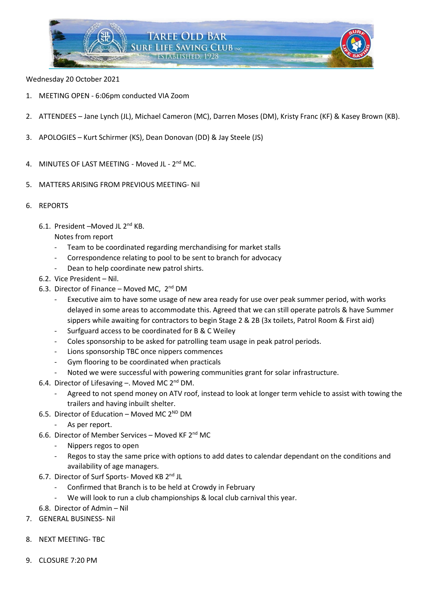

## Wednesday 20 October 2021

- 1. MEETING OPEN 6:06pm conducted VIA Zoom
- 2. ATTENDEES Jane Lynch (JL), Michael Cameron (MC), Darren Moses (DM), Kristy Franc (KF) & Kasey Brown (KB).
- 3. APOLOGIES Kurt Schirmer (KS), Dean Donovan (DD) & Jay Steele (JS)
- 4. MINUTES OF LAST MEETING Moved JL 2<sup>nd</sup> MC.
- 5. MATTERS ARISING FROM PREVIOUS MEETING- Nil
- 6. REPORTS
	- 6.1. President –Moved JL 2nd KB.

# Notes from report

- Team to be coordinated regarding merchandising for market stalls
- Correspondence relating to pool to be sent to branch for advocacy
- Dean to help coordinate new patrol shirts.
- 6.2. Vice President Nil.
- 6.3. Director of Finance Moved MC,  $2^{nd}$  DM
	- Executive aim to have some usage of new area ready for use over peak summer period, with works delayed in some areas to accommodate this. Agreed that we can still operate patrols & have Summer sippers while awaiting for contractors to begin Stage 2 & 2B (3x toilets, Patrol Room & First aid)
	- Surfguard access to be coordinated for B & C Weiley
	- Coles sponsorship to be asked for patrolling team usage in peak patrol periods.
	- Lions sponsorship TBC once nippers commences
	- Gym flooring to be coordinated when practicals
	- Noted we were successful with powering communities grant for solar infrastructure.
- 6.4. Director of Lifesaving -. Moved MC  $2^{nd}$  DM.
	- Agreed to not spend money on ATV roof, instead to look at longer term vehicle to assist with towing the trailers and having inbuilt shelter.
- 6.5. Director of Education Moved MC  $2^{ND}$  DM
	- As per report.
- 6.6. Director of Member Services Moved KF 2nd MC
	- Nippers regos to open
	- Regos to stay the same price with options to add dates to calendar dependant on the conditions and availability of age managers.
- 6.7. Director of Surf Sports- Moved KB 2<sup>nd</sup> JL
	- Confirmed that Branch is to be held at Crowdy in February
	- We will look to run a club championships & local club carnival this year.
- 6.8. Director of Admin Nil
- 7. GENERAL BUSINESS- Nil
- 8. NEXT MEETING- TBC
- 9. CLOSURE 7:20 PM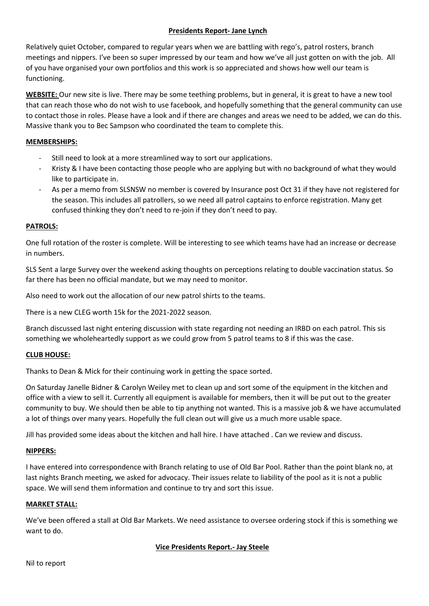# **Presidents Report- Jane Lynch**

Relatively quiet October, compared to regular years when we are battling with rego's, patrol rosters, branch meetings and nippers. I've been so super impressed by our team and how we've all just gotten on with the job. All of you have organised your own portfolios and this work is so appreciated and shows how well our team is functioning.

**WEBSITE:** Our new site is live. There may be some teething problems, but in general, it is great to have a new tool that can reach those who do not wish to use facebook, and hopefully something that the general community can use to contact those in roles. Please have a look and if there are changes and areas we need to be added, we can do this. Massive thank you to Bec Sampson who coordinated the team to complete this.

## **MEMBERSHIPS:**

- Still need to look at a more streamlined way to sort our applications.
- Kristy & I have been contacting those people who are applying but with no background of what they would like to participate in.
- As per a memo from SLSNSW no member is covered by Insurance post Oct 31 if they have not registered for the season. This includes all patrollers, so we need all patrol captains to enforce registration. Many get confused thinking they don't need to re-join if they don't need to pay.

## **PATROLS:**

One full rotation of the roster is complete. Will be interesting to see which teams have had an increase or decrease in numbers.

SLS Sent a large Survey over the weekend asking thoughts on perceptions relating to double vaccination status. So far there has been no official mandate, but we may need to monitor.

Also need to work out the allocation of our new patrol shirts to the teams.

There is a new CLEG worth 15k for the 2021-2022 season.

Branch discussed last night entering discussion with state regarding not needing an IRBD on each patrol. This sis something we wholeheartedly support as we could grow from 5 patrol teams to 8 if this was the case.

#### **CLUB HOUSE:**

Thanks to Dean & Mick for their continuing work in getting the space sorted.

On Saturday Janelle Bidner & Carolyn Weiley met to clean up and sort some of the equipment in the kitchen and office with a view to sell it. Currently all equipment is available for members, then it will be put out to the greater community to buy. We should then be able to tip anything not wanted. This is a massive job & we have accumulated a lot of things over many years. Hopefully the full clean out will give us a much more usable space.

Jill has provided some ideas about the kitchen and hall hire. I have attached . Can we review and discuss.

### **NIPPERS:**

I have entered into correspondence with Branch relating to use of Old Bar Pool. Rather than the point blank no, at last nights Branch meeting, we asked for advocacy. Their issues relate to liability of the pool as it is not a public space. We will send them information and continue to try and sort this issue.

#### **MARKET STALL:**

We've been offered a stall at Old Bar Markets. We need assistance to oversee ordering stock if this is something we want to do.

## **Vice Presidents Report.- Jay Steele**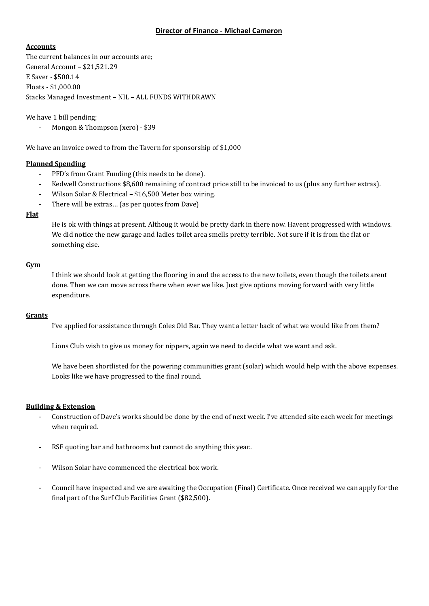### **Director of Finance - Michael Cameron**

### **Accounts**

The current balances in our accounts are; General Account – \$21,521.29 E Saver - \$500.14 Floats - \$1,000.00 Stacks Managed Investment – NIL – ALL FUNDS WITHDRAWN

We have 1 bill pending;

- Mongon & Thompson (xero) - \$39

We have an invoice owed to from the Tavern for sponsorship of \$1,000

#### **Planned Spending**

- PFD's from Grant Funding (this needs to be done).
- Kedwell Constructions \$8,600 remaining of contract price still to be invoiced to us (plus any further extras).
- Wilson Solar & Electrical \$16,500 Meter box wiring.
- There will be extras... (as per quotes from Dave)

#### **Flat**

He is ok with things at present. Althoug it would be pretty dark in there now. Havent progressed with windows. We did notice the new garage and ladies toilet area smells pretty terrible. Not sure if it is from the flat or something else.

## **Gym**

I think we should look at getting the flooring in and the access to the new toilets, even though the toilets arent done. Then we can move across there when ever we like. Just give options moving forward with very little expenditure.

#### **Grants**

I've applied for assistance through Coles Old Bar. They want a letter back of what we would like from them?

Lions Club wish to give us money for nippers, again we need to decide what we want and ask.

We have been shortlisted for the powering communities grant (solar) which would help with the above expenses. Looks like we have progressed to the final round.

## **Building & Extension**

- Construction of Dave's works should be done by the end of next week. I've attended site each week for meetings when required.
- RSF quoting bar and bathrooms but cannot do anything this year..
- Wilson Solar have commenced the electrical box work.
- Council have inspected and we are awaiting the Occupation (Final) Certificate. Once received we can apply for the final part of the Surf Club Facilities Grant (\$82,500).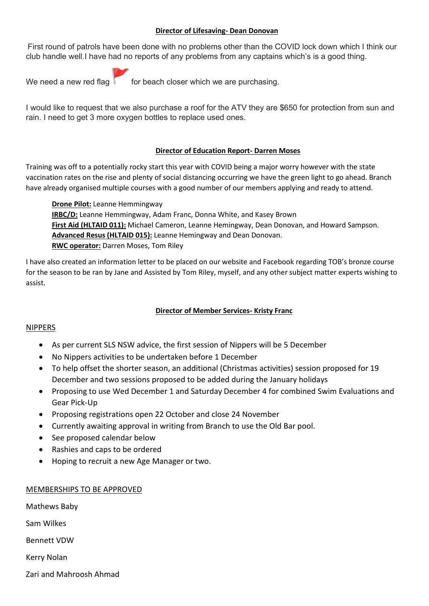## **Director of Lifesaving- Dean Donovan**

First round of patrols have been done with no problems other than the COVID lock down which I think our club handle well.I have had no reports of any problems from any captains which's is a good thing.



We need a new red flag  $\begin{bmatrix} 1 & 1 \\ 0 & 1 \end{bmatrix}$  for beach closer which we are purchasing.

I would like to request that we also purchase a roof for the ATV they are \$650 for protection from sun and rain. I need to get 3 more oxygen bottles to replace used ones.

## **Director of Education Report- Darren Moses**

Training was off to a potentially rocky start this year with COVID being a major worry however with the state vaccination rates on the rise and plenty of social distancing occurring we have the green light to go ahead. Branch have already organised multiple courses with a good number of our members applying and ready to attend.

**Drone Pilot:** Leanne Hemmingway **IRBC/D:** Leanne Hemmingway, Adam Franc, Donna White, and Kasey Brown **First Aid (HLTAID 011):** Michael Cameron, Leanne Hemingway, Dean Donovan, and Howard Sampson. **Advanced Resus (HLTAID 015):** Leanne Hemingway and Dean Donovan. **RWC operator:** Darren Moses, Tom Riley

I have also created an information letter to be placed on our website and Facebook regarding TOB's bronze course for the season to be ran by Jane and Assisted by Tom Riley, myself, and any other subject matter experts wishing to assist.

## **Director of Member Services- Kristy Franc**

#### NIPPERS

- As per current SLS NSW advice, the first session of Nippers will be 5 December
- No Nippers activities to be undertaken before 1 December
- To help offset the shorter season, an additional (Christmas activities) session proposed for 19 December and two sessions proposed to be added during the January holidays
- Proposing to use Wed December 1 and Saturday December 4 for combined Swim Evaluations and Gear Pick-Up
- Proposing registrations open 22 October and close 24 November
- Currently awaiting approval in writing from Branch to use the Old Bar pool.
- See proposed calendar below
- Rashies and caps to be ordered
- Hoping to recruit a new Age Manager or two.

## MEMBERSHIPS TO BE APPROVED

Mathews Baby

Sam Wilkes

Bennett VDW

Kerry Nolan

Zari and Mahroosh Ahmad